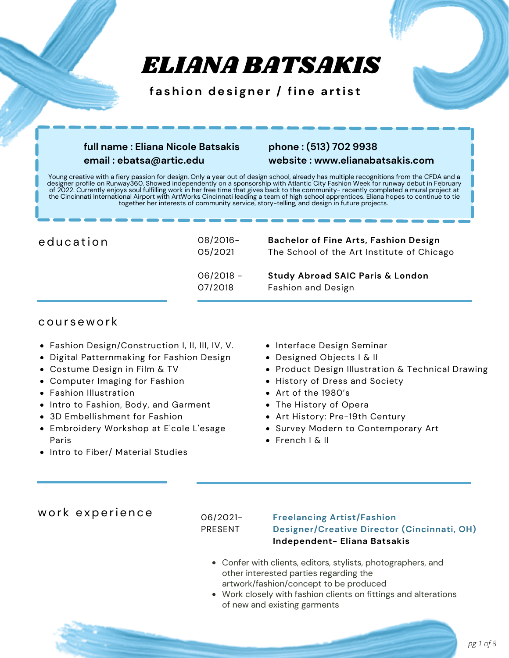# ELIANA BATSAKIS

**f a shion des i gner / fine a r t i s t**

# **full name : Eliana Nicole Batsakis email : ebatsa@artic.edu**

# **phone : (513) 702 9938 website : www.elianabatsakis.com**

Young creative with a fiery passion for design. Only a year out of design school, already has multiple recognitions from the CFDA and a designer profile on Runway360. Showed independently on a sponsorship with Atlantic City Fashion Week for runway debut in February of 2022. Currently enjoys soul fulfilling work in her free time that gives back to the community- recently completed a mural project at the Cincinnati International Airport with ArtWorks Cincinnati leading a team of high school apprentices. Eliana hopes to continue to tie together her interests of community service, story-telling, and design in future projects.

| education | 08/2016-<br>05/2021    | <b>Bachelor of Fine Arts, Fashion Design</b><br>The School of the Art Institute of Chicago |
|-----------|------------------------|--------------------------------------------------------------------------------------------|
|           | $06/2018 -$<br>07/2018 | <b>Study Abroad SAIC Paris &amp; London</b><br>Fashion and Design                          |

# cou r s ewor k

- Fashion Design/Construction I, II, III, IV, V.
- Digital Patternmaking for Fashion Design
- Costume Design in Film & TV
- Computer Imaging for Fashion
- Fashion Illustration
- Intro to Fashion, Body, and Garment
- 3D Embellishment for Fashion
- Embroidery Workshop at E'cole L'esage Paris
- Intro to Fiber/ Material Studies
- Interface Design Seminar
- Designed Objects I & II
- **Product Design Illustration & Technical Drawing**
- **History of Dress and Society**
- Art of the 1980's
- The History of Opera
- Art History: Pre-19th Century
- **Survey Modern to Contemporary Art**
- French I & II

# work experience

06/2021- PRESENT

### **Freelancing Artist/Fashion Designer/Creative Director (Cincinnati, OH) Independent- Eliana Batsakis**

- Confer with clients, editors, stylists, photographers, and other interested parties regarding the artwork/fashion/concept to be produced
- Work closely with fashion clients on fittings and alterations of new and existing garments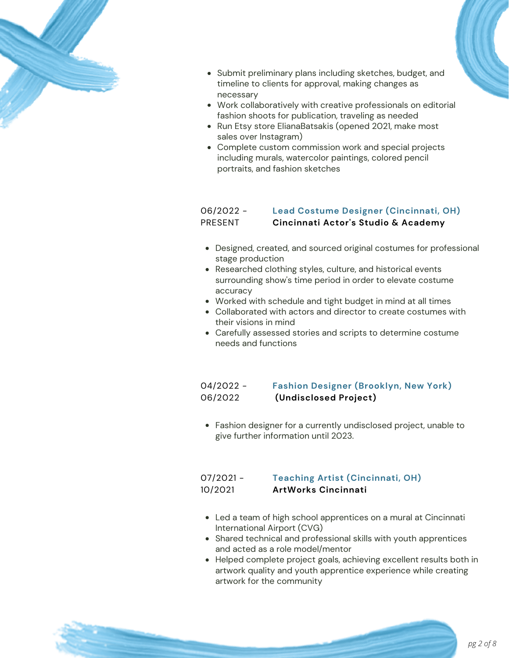

- Submit preliminary plans including sketches, budget, and timeline to clients for approval, making changes as necessary
- Work collaboratively with creative professionals on editorial fashion shoots for publication, traveling as needed
- Run Etsy store ElianaBatsakis (opened 2021, make most sales over Instagram)
- Complete custom commission work and special projects including murals, watercolor paintings, colored pencil portraits, and fashion sketches

#### 06/2022 - PRESENT **Lead Costume Designer (Cincinnati, OH) Cincinnati Actor's Studio & Academy**

- Designed, created, and sourced original costumes for professional stage production
- Researched clothing styles, culture, and historical events surrounding show's time period in order to elevate costume accuracy
- Worked with schedule and tight budget in mind at all times
- Collaborated with actors and director to create costumes with their visions in mind
- Carefully assessed stories and scripts to determine costume needs and functions

#### 04/2022 - 06/2022 **Fashion Designer (Brooklyn, New York) (Undisclosed Project)**

Fashion designer for a currently undisclosed project, unable to give further information until 2023.

#### 07/2021 - 10/2021 **Teaching Artist (Cincinnati, OH) ArtWorks Cincinnati**

- Led a team of high school apprentices on a mural at Cincinnati International Airport (CVG)
- Shared technical and professional skills with youth apprentices and acted as a role model/mentor
- Helped complete project goals, achieving excellent results both in artwork quality and youth apprentice experience while creating artwork for the community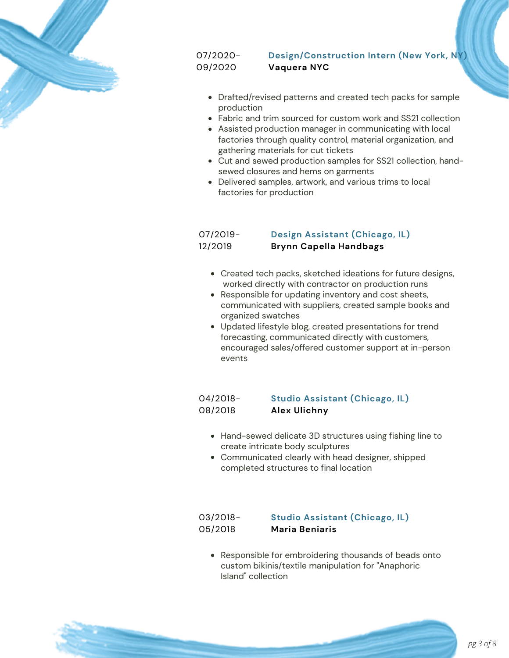

07/2020- 09/2020

# **Design/Construction Intern (New York, NY) Vaquera NYC**

- Drafted/revised patterns and created tech packs for sample production
- Fabric and trim sourced for custom work and SS21 collection
- Assisted production manager in communicating with local factories through quality control, material organization, and gathering materials for cut tickets
- Cut and sewed production samples for SS21 collection, handsewed closures and hems on garments
- Delivered samples, artwork, and various trims to local factories for production

07/2019- 12/2019

### **Design Assistant (Chicago, IL) Brynn Capella Handbags**

- Created tech packs, sketched ideations for future designs, worked directly with contractor on production runs
- Responsible for updating inventory and cost sheets, communicated with suppliers, created sample books and organized swatches
- Updated lifestyle blog, created presentations for trend forecasting, communicated directly with customers, encouraged sales/offered customer support at in-person events

#### 04/2018- 08/2018 **Studio Assistant (Chicago, IL) Alex Ulichny**

- Hand-sewed delicate 3D structures using fishing line to create intricate body sculptures
- Communicated clearly with head designer, shipped completed structures to final location

#### 03/2018- 05/2018 **Studio Assistant (Chicago, IL) Maria Beniaris**

• Responsible for embroidering thousands of beads onto custom bikinis/textile manipulation for "Anaphoric Island" collection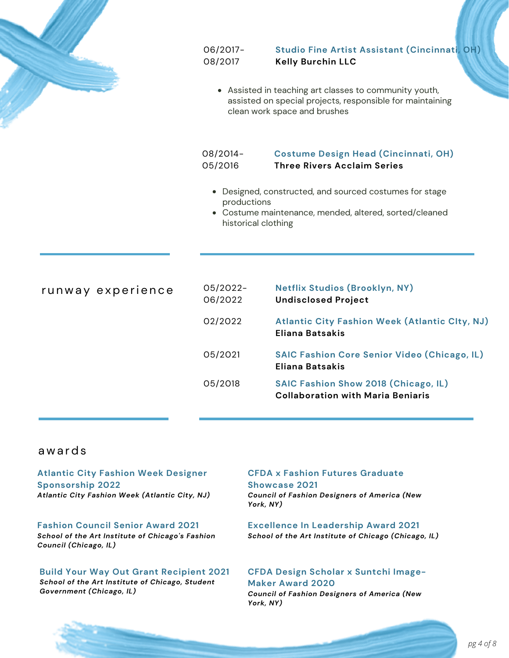

06/2017- 08/2017

**Studio Fine Artist Assistant (Cincinnati, OH) Kelly Burchin LLC**

Assisted in teaching art classes to community youth, assisted on special projects, responsible for maintaining clean work space and brushes

#### 08/2014- 05/2016 **Costume Design Head (Cincinnati, OH) Three Rivers Acclaim Series**

- Designed, constructed, and sourced costumes for stage productions
- Costume maintenance, mended, altered, sorted/cleaned historical clothing

runway experience  $05/2022$ -06/2022 **Netflix Studios (Brooklyn, NY) Undisclosed Project** 05/2021 **SAIC Fashion Core Senior Video (Chicago, IL) Eliana Batsakis** 05/2018 **SAIC Fashion Show 2018 (Chicago, IL) Collaboration with Maria Beniaris** 02/2022 **Atlantic City Fashion Week (Atlantic CIty, NJ) Eliana Batsakis**

# awa rds

### **Atlantic City Fashion Week Designer Sponsorship 2022** *Atlantic City Fashion Week (Atlantic City, NJ)*

**Fashion Council Senior Award 2021** *School of the Art Institute of Chicago's Fashion Council (Chicago, IL)*

**Build Your Way Out Grant Recipient 2021** *School of the Art Institute of Chicago, Student Government (Chicago, IL)*

# **CFDA x Fashion Futures Graduate Showcase 2021**

*Council of Fashion Designers of America (New York, NY)*

**Excellence In Leadership Award 2021** *School of the Art Institute of Chicago (Chicago, IL)*

# **CFDA Design Scholar x Suntchi Image-Maker Award 2020**

*Council of Fashion Designers of America (New York, NY)*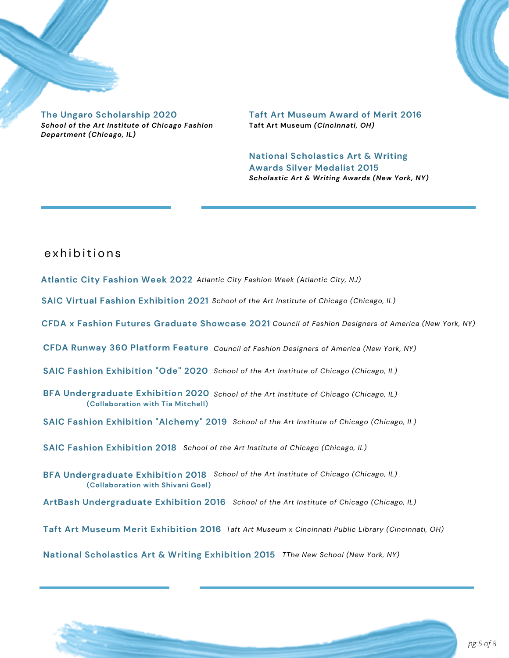

**Taft Art Museum Award of Merit 2016 Taft Art Museum** *(Cincinnati, OH)*

**National Scholastics Art & Writing Awards Silver Medalist 2015** *Scholastic Art & Writing Awards (New York, NY)*

# e x h ibition s

- **Atlantic City Fashion Week 2022** *Atlantic City Fashion Week (Atlantic City, NJ)*
- **SAIC Virtual Fashion Exhibition 2021** *School of the Art Institute of Chicago (Chicago, IL)*
- **CFDA x Fashion Futures Graduate Showcase 2021** *Council of Fashion Designers of America (New York, NY)*
- **CFDA Runway 360 Platform Feature** *Council of Fashion Designers of America (New York, NY)*
- **SAIC Fashion Exhibition "Ode" 2020** *School of the Art Institute of Chicago (Chicago, IL)*
- **BFA Undergraduate Exhibition 2020** *School of the Art Institute of Chicago (Chicago, IL)* **(Collaboration with Tia Mitchell)**
- **SAIC Fashion Exhibition "Alchemy" 2019** *School of the Art Institute of Chicago (Chicago, IL)*
- **SAIC Fashion Exhibition 2018** *School of the Art Institute of Chicago (Chicago, IL)*
- **BFA Undergraduate Exhibition 2018** *School of the Art Institute of Chicago (Chicago, IL)* **(Collaboration with Shivani Goel)**
- **ArtBash Undergraduate Exhibition 2016** *School of the Art Institute of Chicago (Chicago, IL)*
- **Taft Art Museum Merit Exhibition 2016** *Taft Art Museum x Cincinnati Public Library (Cincinnati, OH)*

**National Scholastics Art & Writing Exhibition 2015** *TThe New School (New York, NY)*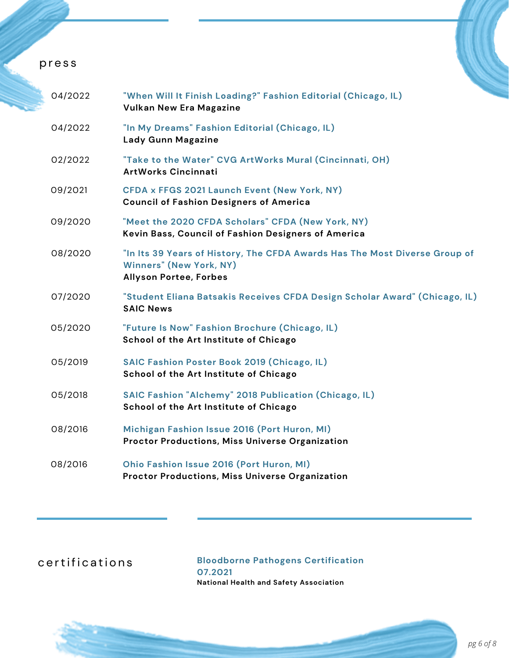# pr e s s

| 04/2022 | "When Will It Finish Loading?" Fashion Editorial (Chicago, IL)<br><b>Vulkan New Era Magazine</b>                                              |
|---------|-----------------------------------------------------------------------------------------------------------------------------------------------|
| 04/2022 | "In My Dreams" Fashion Editorial (Chicago, IL)<br><b>Lady Gunn Magazine</b>                                                                   |
| 02/2022 | "Take to the Water" CVG ArtWorks Mural (Cincinnati, OH)<br><b>ArtWorks Cincinnati</b>                                                         |
| 09/2021 | CFDA x FFGS 2021 Launch Event (New York, NY)<br><b>Council of Fashion Designers of America</b>                                                |
| 09/2020 | "Meet the 2020 CFDA Scholars" CFDA (New York, NY)<br>Kevin Bass, Council of Fashion Designers of America                                      |
| 08/2020 | "In Its 39 Years of History, The CFDA Awards Has The Most Diverse Group of<br><b>Winners" (New York, NY)</b><br><b>Allyson Portee, Forbes</b> |
| 07/2020 | "Student Eliana Batsakis Receives CFDA Design Scholar Award" (Chicago, IL)<br><b>SAIC News</b>                                                |
| 05/2020 | "Future Is Now" Fashion Brochure (Chicago, IL)<br>School of the Art Institute of Chicago                                                      |
| 05/2019 | <b>SAIC Fashion Poster Book 2019 (Chicago, IL)</b><br>School of the Art Institute of Chicago                                                  |
| 05/2018 | SAIC Fashion "Alchemy" 2018 Publication (Chicago, IL)<br>School of the Art Institute of Chicago                                               |
| 08/2016 | Michigan Fashion Issue 2016 (Port Huron, MI)<br><b>Proctor Productions, Miss Universe Organization</b>                                        |
| 08/2016 | Ohio Fashion Issue 2016 (Port Huron, MI)<br><b>Proctor Productions, Miss Universe Organization</b>                                            |

c ertifications

**Bloodborne Pathogens Certification 07.2021 National Health and Safety Association**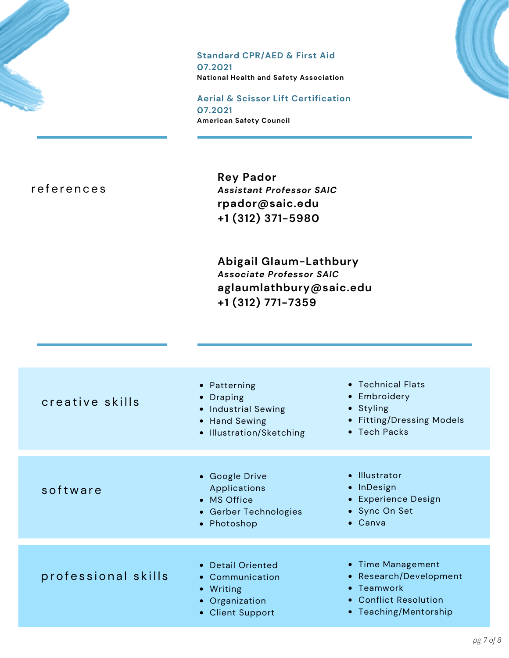# **Standard CPR/AED & First Aid**

**07.2021 National Health and Safety Association**

**Aerial & Scissor Lift Certification 07.2021 American Safety Council**

r e f e r e n c e s

**Rey Pador** *Assistant Professor SAIC* **rpador@saic.edu +1 (312) 371-5980**

**Abigail Glaum-Lathbury** *Associate Professor SAIC* **aglaumlathbury@saic.edu +1 (312) 771-7359**

| creative skills     | • Patterning<br>• Draping<br>• Industrial Sewing<br>• Hand Sewing<br>• Illustration/Sketching | • Technical Flats<br>• Embroidery<br>• Styling<br>• Fitting/Dressing Models<br>• Tech Packs                 |
|---------------------|-----------------------------------------------------------------------------------------------|-------------------------------------------------------------------------------------------------------------|
| software            | • Google Drive<br>Applications<br>• MS Office<br>• Gerber Technologies<br>• Photoshop         | • Illustrator<br>• InDesign<br>• Experience Design<br>• Sync On Set<br>• Canva                              |
| professional skills | • Detail Oriented<br>• Communication<br>• Writing<br>• Organization<br>• Client Support       | • Time Management<br>• Research/Development<br>• Teamwork<br>• Conflict Resolution<br>• Teaching/Mentorship |